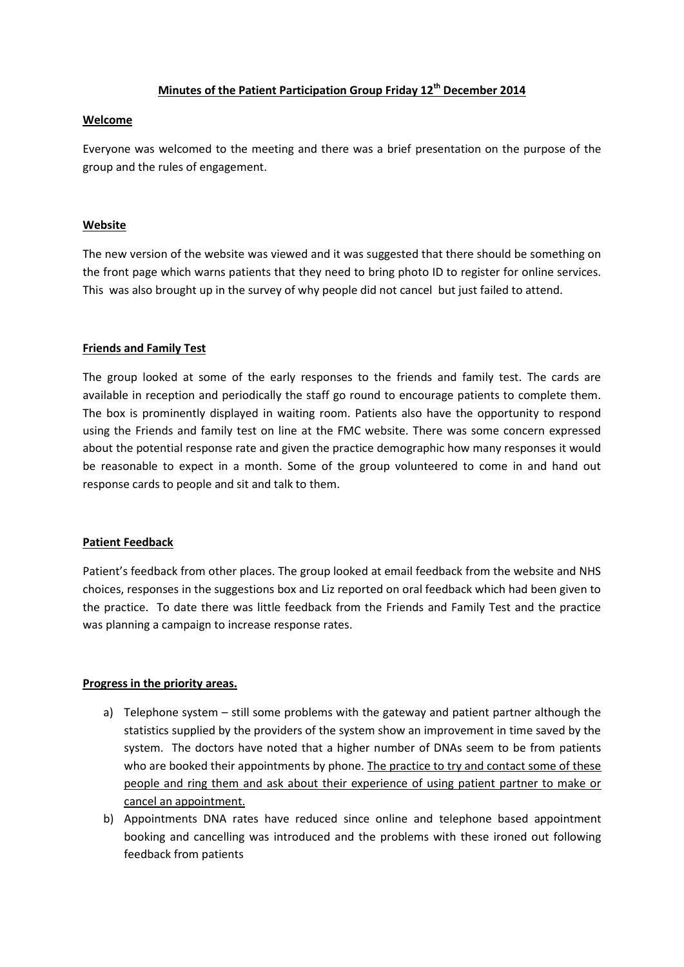## **Minutes of the Patient Participation Group Friday 12th December 2014**

## **Welcome**

Everyone was welcomed to the meeting and there was a brief presentation on the purpose of the group and the rules of engagement.

## **Website**

The new version of the website was viewed and it was suggested that there should be something on the front page which warns patients that they need to bring photo ID to register for online services. This was also brought up in the survey of why people did not cancel but just failed to attend.

## **Friends and Family Test**

The group looked at some of the early responses to the friends and family test. The cards are available in reception and periodically the staff go round to encourage patients to complete them. The box is prominently displayed in waiting room. Patients also have the opportunity to respond using the Friends and family test on line at the FMC website. There was some concern expressed about the potential response rate and given the practice demographic how many responses it would be reasonable to expect in a month. Some of the group volunteered to come in and hand out response cards to people and sit and talk to them.

#### **Patient Feedback**

Patient's feedback from other places. The group looked at email feedback from the website and NHS choices, responses in the suggestions box and Liz reported on oral feedback which had been given to the practice. To date there was little feedback from the Friends and Family Test and the practice was planning a campaign to increase response rates.

# **Progress in the priority areas.**

- a) Telephone system still some problems with the gateway and patient partner although the statistics supplied by the providers of the system show an improvement in time saved by the system. The doctors have noted that a higher number of DNAs seem to be from patients who are booked their appointments by phone. The practice to try and contact some of these people and ring them and ask about their experience of using patient partner to make or cancel an appointment.
- b) Appointments DNA rates have reduced since online and telephone based appointment booking and cancelling was introduced and the problems with these ironed out following feedback from patients